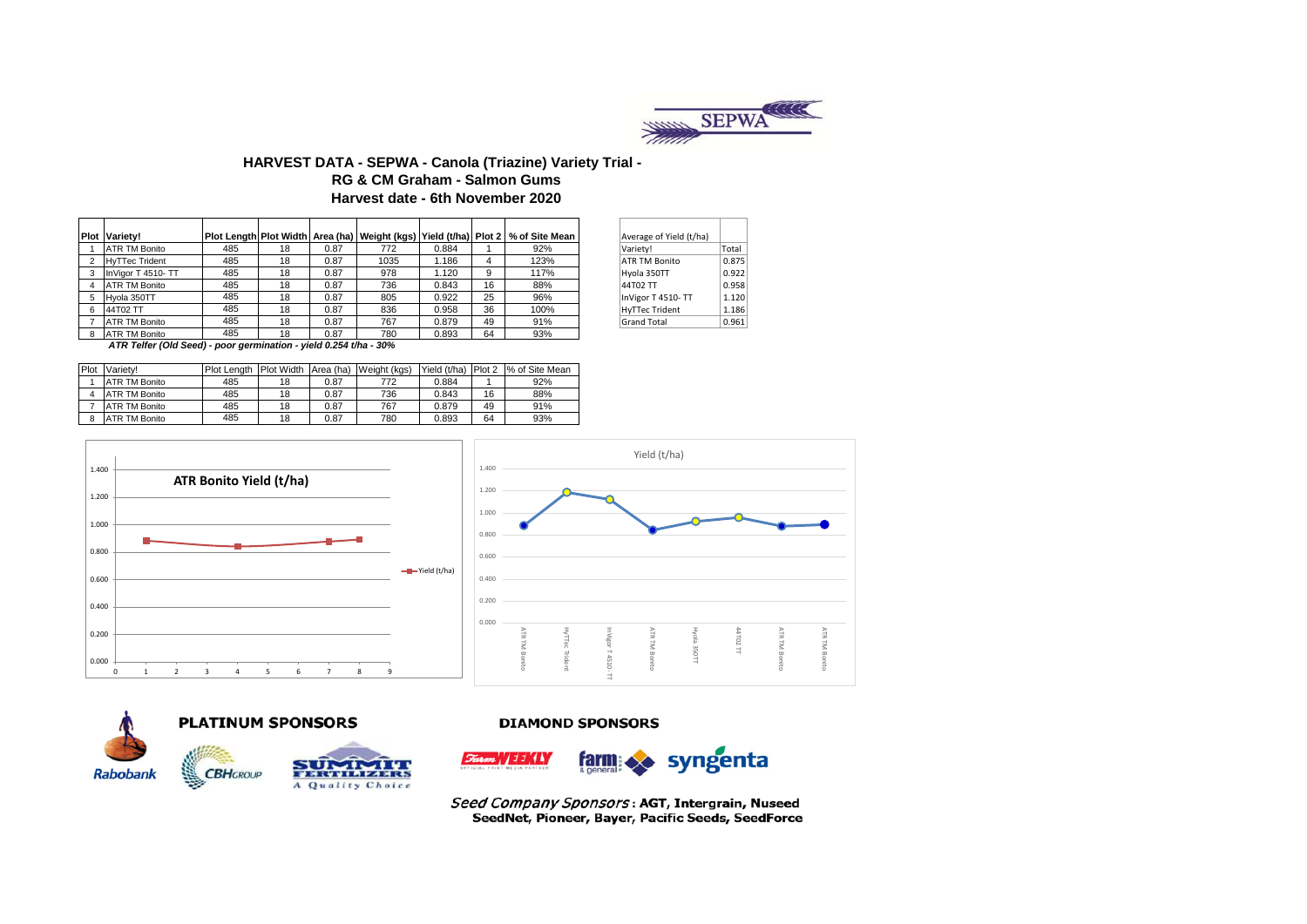

### **HARVEST DATA - SEPWA - Canola (Triazine) Variety Trial - Harvest date - 6th November 2020 RG & CM Graham - Salmon Gums**

| <b>Plot Variety!</b>  |     |    |      |      |       |    | Plot Length Plot Width Area (ha)   Weight (kgs)   Yield (t/ha)   Plot 2   % of Site Mean | Average of Yield (t/ha) |       |
|-----------------------|-----|----|------|------|-------|----|------------------------------------------------------------------------------------------|-------------------------|-------|
| <b>ATR TM Bonito</b>  | 485 | 18 | 0.87 | 772  | 0.884 |    | 92%                                                                                      | Variety!                | Total |
| <b>HyTTec Trident</b> | 485 | 18 | 0.87 | 1035 | 1.186 |    | 123%                                                                                     | <b>ATR TM Bonito</b>    | 0.875 |
| InVigor T 4510- TT    | 485 | 18 | 0.87 | 978  | 1.120 | 9  | 117%                                                                                     | Hyola 350TT             | 0.922 |
| <b>ATR TM Bonito</b>  | 485 | 18 | 0.87 | 736  | 0.843 | 16 | 88%                                                                                      | 44T02 TT                | 0.958 |
| Hyola 350TT           | 485 | 18 | 0.87 | 805  | 0.922 | 25 | 96%                                                                                      | InVigor T 4510-TT       | 1.120 |
| 44T02 TT              | 485 | 18 | 0.87 | 836  | 0.958 | 36 | 100%                                                                                     | <b>HyTTec Trident</b>   | 1.186 |
| <b>ATR TM Bonito</b>  | 485 | 18 | 0.87 | 767  | 0.879 | 49 | 91%                                                                                      | Grand Total             | 0.961 |
| <b>ATR TM Bonito</b>  | 485 | 18 | 0.87 | 780  | 0.893 | 64 | 93%                                                                                      |                         |       |

| Average of Yield (t/ha) |       |
|-------------------------|-------|
| Variety!                | Total |
| <b>ATR TM Bonito</b>    | 0.875 |
| Hyola 350TT             | 0.922 |
| 44T02 TT                | 0.958 |
| InVigor T 4510-TT       | 1.120 |
| <b>HyTTec Trident</b>   | 1.186 |
| <b>Grand Total</b>      | 0.961 |

 *ATR Telfer (Old Seed) - poor germination - yield 0.254 t/ha - 30%* 

| <b>Plot</b> | Variety!             | <b>Plot Lenath</b> | <b>Plot Width</b> |      | Area (ha) Weight (kgs) | Yield (t/ha) | Plot 2 | % of Site Mean |
|-------------|----------------------|--------------------|-------------------|------|------------------------|--------------|--------|----------------|
|             | <b>ATR TM Bonito</b> | 485                | 18                | 0.87 | 772                    | 0.884        |        | 92%            |
|             | <b>ATR TM Bonito</b> | 485                | 18                | 0.87 | 736                    | 0.843        | 16     | 88%            |
|             | <b>ATR TM Bonito</b> | 485                | 18                | 0.87 | 767                    | 0.879        | 49     | 91%            |
| 8           | ATR TM Bonito        | 485                | 18                | 0.87 | 780                    | 0.893        | 64     | 93%            |









#### **DIAMOND SPONSORS**



Seed Company Sponsors: AGT, Intergrain, Nuseed SeedNet, Pioneer, Bayer, Pacific Seeds, SeedForce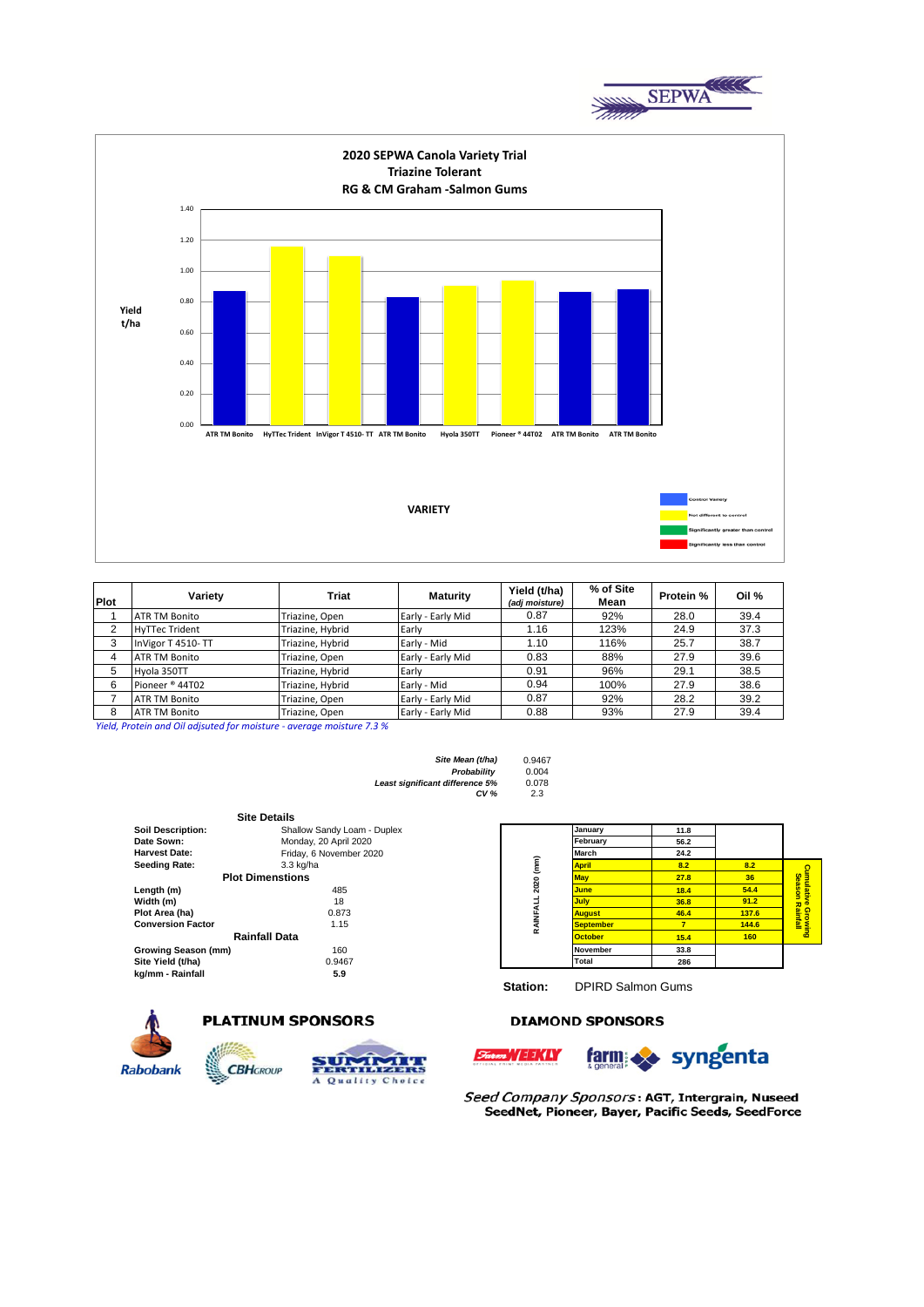



| Plot | Variety               | <b>Triat</b>     | <b>Maturity</b>   | Yield (t/ha)<br>(adj moisture) | % of Site<br>Mean | Protein % | Oil % |
|------|-----------------------|------------------|-------------------|--------------------------------|-------------------|-----------|-------|
|      | <b>ATR TM Bonito</b>  | Triazine, Open   | Early - Early Mid | 0.87                           | 92%               | 28.0      | 39.4  |
| 2    | <b>HyTTec Trident</b> | Triazine, Hybrid | Early             | 1.16                           | 123%              | 24.9      | 37.3  |
| 3    | InVigor T 4510-TT     | Triazine, Hybrid | Early - Mid       | 1.10                           | 116%              | 25.7      | 38.7  |
| 4    | <b>ATR TM Bonito</b>  | Triazine, Open   | Early - Early Mid | 0.83                           | 88%               | 27.9      | 39.6  |
| 5    | Hvola 350TT           | Triazine, Hybrid | Early             | 0.91                           | 96%               | 29.1      | 38.5  |
| 6    | Pioneer ® 44T02       | Triazine, Hybrid | Early - Mid       | 0.94                           | 100%              | 27.9      | 38.6  |
|      | <b>ATR TM Bonito</b>  | Triazine, Open   | Early - Early Mid | 0.87                           | 92%               | 28.2      | 39.2  |
| 8    | <b>ATR TM Bonito</b>  | Triazine, Open   | Early - Early Mid | 0.88                           | 93%               | 27.9      | 39.4  |

*Yield, Protein and Oil adjsuted for moisture - average moisture 7.3 %*

| Site Mean (t/ha)                | 0.9467 |
|---------------------------------|--------|
| Probability                     | 0.004  |
| Least significant difference 5% | 0.078  |
| CV <sub>%</sub>                 | 2.3    |

|                          | <b>Site Details</b>         |           |                  |                |                 |
|--------------------------|-----------------------------|-----------|------------------|----------------|-----------------|
| <b>Soil Description:</b> | Shallow Sandy Loam - Duplex |           | January          | 11.8           |                 |
| Date Sown:               | Monday, 20 April 2020       |           | February         | 56.2           |                 |
| <b>Harvest Date:</b>     | Friday, 6 November 2020     |           | March            | 24.2           |                 |
| Seeding Rate:            | 3.3 kg/ha                   |           | <b>April</b>     | 8.2            | 8.2             |
|                          | <b>Plot Dimenstions</b>     | 2020 (mm) | <b>May</b>       | 27.8           | 36 <sup>°</sup> |
| Length (m)               | 485                         |           | <b>June</b>      | 18.4           | 54.4            |
| Width (m)                | 18                          |           | <b>July</b>      | 36.8           | 91.2            |
| Plot Area (ha)           | 0.873                       |           | <b>August</b>    | 46.4           | 137.6           |
| <b>Conversion Factor</b> | 1.15                        | RAINFALL  | <b>September</b> | 7 <sup>7</sup> | 144.6           |
|                          | Rainfall Data               |           | <b>October</b>   | 15.4           | 160             |
| Growing Season (mm)      | 160                         |           | <b>November</b>  | 33.8           |                 |
| Site Yield (t/ha)        | 0.9467                      |           | Total            | 286            |                 |
| kg/mm - Rainfall         | 5.9                         |           |                  |                |                 |

|                    | January          | 11.8 |       |                        |
|--------------------|------------------|------|-------|------------------------|
|                    | February         | 56.2 |       |                        |
|                    | March            | 24.2 |       |                        |
|                    | <b>April</b>     | 8.2  | 8.2   |                        |
| RAINFALL 2020 (mm) | <b>May</b>       | 27.8 | 36    | Cumulative Growing     |
|                    | June             | 18.4 | 54.4  | <b>Season Rainfall</b> |
|                    | <b>July</b>      | 36.8 | 91.2  |                        |
|                    | <b>August</b>    | 46.4 | 137.6 |                        |
|                    | <b>September</b> | 7    | 144.6 |                        |
|                    | <b>October</b>   | 15.4 | 160   |                        |
|                    | <b>November</b>  | 33.8 |       |                        |
|                    | Total            | 286  |       |                        |

farm >> syngenta

**Station:** DPIRD Salmon Gums

#### **DIAMOND SPONSORS**



# **PLATINUM SPONSORS**



Seed Company Sponsors: AGT, Intergrain, Nuseed SeedNet, Pioneer, Bayer, Pacific Seeds, SeedForce

~\/11\(A)